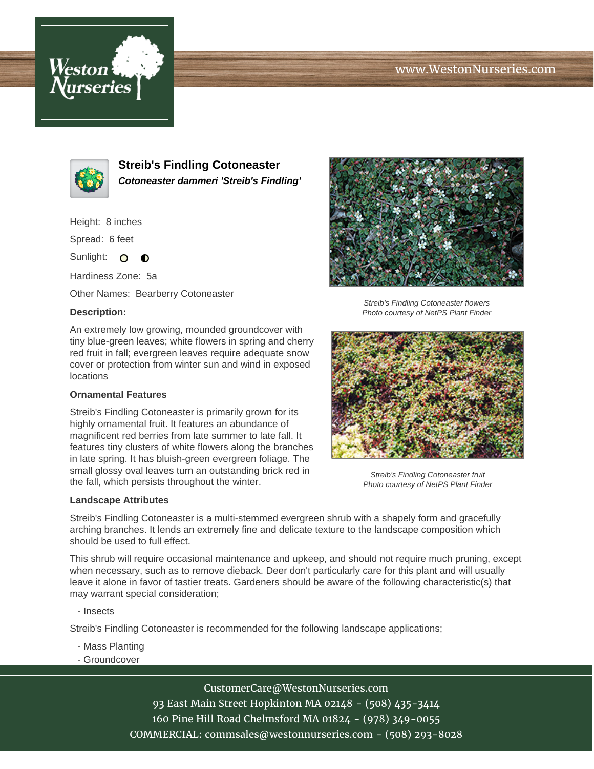# www.WestonNurseries.com





**Streib's Findling Cotoneaster Cotoneaster dammeri 'Streib's Findling'**

Height: 8 inches

Spread: 6 feet

Sunlight: O  $\bullet$ 

Hardiness Zone: 5a

Other Names: Bearberry Cotoneaster

### **Description:**

An extremely low growing, mounded groundcover with tiny blue-green leaves; white flowers in spring and cherry red fruit in fall; evergreen leaves require adequate snow cover or protection from winter sun and wind in exposed locations

### **Ornamental Features**

Streib's Findling Cotoneaster is primarily grown for its highly ornamental fruit. It features an abundance of magnificent red berries from late summer to late fall. It features tiny clusters of white flowers along the branches in late spring. It has bluish-green evergreen foliage. The small glossy oval leaves turn an outstanding brick red in the fall, which persists throughout the winter.

#### **Landscape Attributes**



Streib's Findling Cotoneaster flowers Photo courtesy of NetPS Plant Finder



Streib's Findling Cotoneaster fruit Photo courtesy of NetPS Plant Finder

Streib's Findling Cotoneaster is a multi-stemmed evergreen shrub with a shapely form and gracefully arching branches. It lends an extremely fine and delicate texture to the landscape composition which should be used to full effect.

This shrub will require occasional maintenance and upkeep, and should not require much pruning, except when necessary, such as to remove dieback. Deer don't particularly care for this plant and will usually leave it alone in favor of tastier treats. Gardeners should be aware of the following characteristic(s) that may warrant special consideration;

- Insects

Streib's Findling Cotoneaster is recommended for the following landscape applications;

- Mass Planting
- Groundcover

CustomerCare@WestonNurseries.com 93 East Main Street Hopkinton MA 02148 - (508) 435-3414 160 Pine Hill Road Chelmsford MA 01824 - (978) 349-0055 COMMERCIAL: commsales@westonnurseries.com - (508) 293-8028